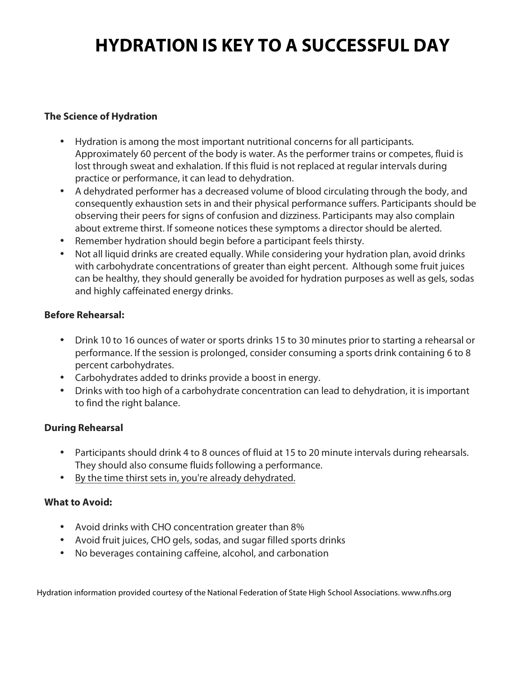### **HYDRATION IS KEY TO A SUCCESSFUL DAY**

#### **The Science of Hydration**

- Hydration is among the most important nutritional concerns for all participants. Approximately 60 percent of the body is water. As the performer trains or competes, fluid is lost through sweat and exhalation. If this fluid is not replaced at regular intervals during practice or performance, it can lead to dehydration.
- A dehydrated performer has a decreased volume of blood circulating through the body, and consequently exhaustion sets in and their physical performance suffers. Participants should be observing their peers for signs of confusion and dizziness. Participants may also complain about extreme thirst. If someone notices these symptoms a director should be alerted.
- Remember hydration should begin before a participant feels thirsty.
- Not all liquid drinks are created equally. While considering your hydration plan, avoid drinks with carbohydrate concentrations of greater than eight percent. Although some fruit juices can be healthy, they should generally be avoided for hydration purposes as well as gels, sodas and highly caffeinated energy drinks.

#### **Before Rehearsal:**

- Drink 10 to 16 ounces of water or sports drinks 15 to 30 minutes prior to starting a rehearsal or performance. If the session is prolonged, consider consuming a sports drink containing 6 to 8 percent carbohydrates.
- Carbohydrates added to drinks provide a boost in energy.
- Drinks with too high of a carbohydrate concentration can lead to dehydration, it is important to find the right balance.

#### **During Rehearsal**

- Participants should drink 4 to 8 ounces of fluid at 15 to 20 minute intervals during rehearsals. They should also consume fluids following a performance.
- By the time thirst sets in, you're already dehydrated.

#### **What to Avoid:**

- Avoid drinks with CHO concentration greater than 8%
- Avoid fruit juices, CHO gels, sodas, and sugar filled sports drinks
- No beverages containing caffeine, alcohol, and carbonation

Hydration information provided courtesy of the National Federation of State High School Associations. www.nfhs.org